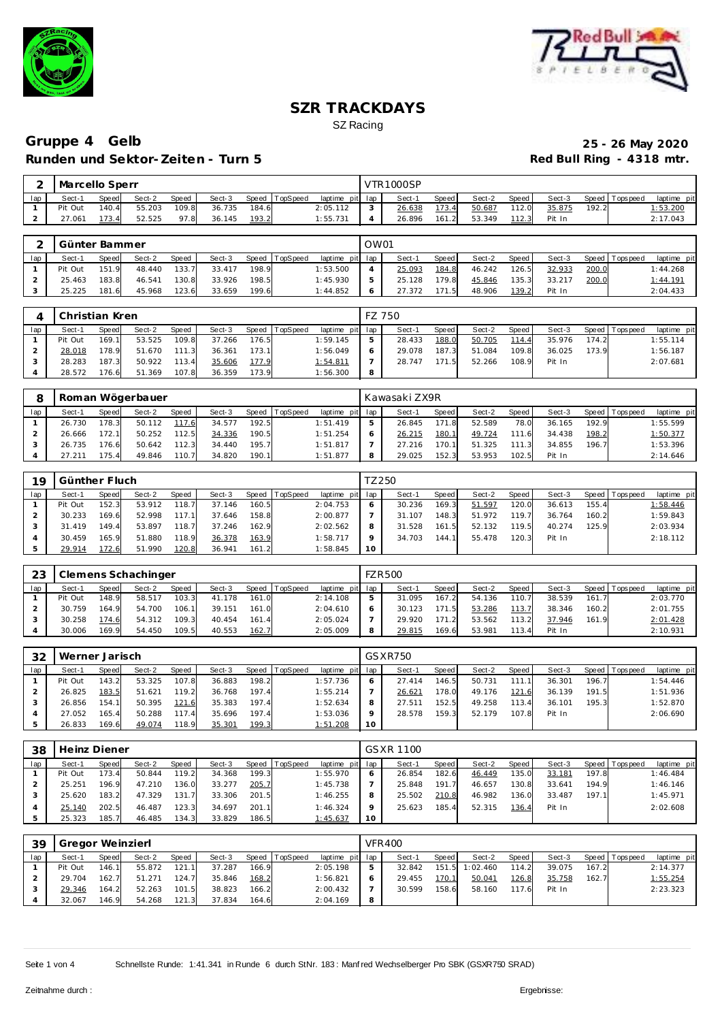



## Gruppe 4 Gelb<br>
25 - 26 May 2020<br>
Red Bull Ring - 4318 mtr. **Runden und Sektor-Zeiten - Turn 5**

| $\sim$ | Marcello Sperr |       |        |       |        |       |                |                 |                | VTR1000SP |       |        |       |        |       |                |             |
|--------|----------------|-------|--------|-------|--------|-------|----------------|-----------------|----------------|-----------|-------|--------|-------|--------|-------|----------------|-------------|
| lap    | Sect-1         | Speed | Sect-2 | Speed | Sect-3 |       | Speed TopSpeed | laptime pit lap |                | Sect-1    | Speed | Sect-2 | Speed | Sect-3 |       | Speed Topspeed | laptime pit |
|        | Pit Out        | 140.4 | 55.203 | 109.8 | 36.735 | 184.6 |                | 2:05.112        |                | 26.638    | 173.4 | 50.687 | 112.0 | 35.875 | 192.2 |                | 1:53.200    |
|        | 27.061         | 173.4 | 52.525 | 97.8  | 36.145 | 193.2 |                | 1:55.731        | $\overline{4}$ | 26.896    | 161.2 | 53.349 | 112.3 | Pit In |       |                | 2:17.043    |

|     | I Günter Bammer |       |        |       |        |       |                |                 | OW01    |        |       |        |       |        |       |                |             |
|-----|-----------------|-------|--------|-------|--------|-------|----------------|-----------------|---------|--------|-------|--------|-------|--------|-------|----------------|-------------|
| lap | Sect-1          | Speed | Sect-2 | Speed | Sect-3 |       | Speed TopSpeed | laptime pit lap |         | Sect-1 | Speed | Sect-2 | Speed | Sect-3 |       | Speed Topspeed | laptime pit |
|     | Pit Out         | 151.9 | 48.440 | 133.7 | 33.417 | 198.9 |                | 1:53.500        |         | 25.093 | 184.8 | 46.242 | 126.5 | 32.933 | 200.0 |                | 1:44.268    |
|     | 25.463          | 183.8 | 46.541 | 130.8 | 33.926 | 198.5 |                | 1:45.930        | 5       | 25.128 | 179.8 | 45.846 | 135.3 | 33.217 | 200.0 |                | 1:44.191    |
|     | 25.225          | 181.6 | 45.968 | 123.6 | 33.659 | 199.6 |                | 1:44.852        | $\circ$ | 27.372 | 171.5 | 48.906 | 139.2 | Pit In |       |                | 2:04.433    |

|     | Christian Kren |              |        |       |        |       |                |                 |         | FZ 750 |       |        |       |        |       |                 |             |
|-----|----------------|--------------|--------|-------|--------|-------|----------------|-----------------|---------|--------|-------|--------|-------|--------|-------|-----------------|-------------|
| lap | Sect-1         | <b>Speed</b> | Sect-2 | Speed | Sect-3 |       | Speed TopSpeed | laptime pit lap |         | Sect-1 | Speed | Sect-2 | Speed | Sect-3 |       | Speed Tops peed | laptime pit |
|     | Pit Out        | 169.1        | 53.525 | 109.8 | 37.266 | 176.5 |                | 1:59.145        | 5       | 28.433 | 188.0 | 50.705 | 114.4 | 35.976 | 174.2 |                 | 1:55.114    |
|     | 28.018         | 178.9        | 51.670 | 111.3 | 36.361 | 173.1 |                | 1:56.049        | $\circ$ | 29.078 | 187.3 | 51.084 | 109.8 | 36.025 | 173.9 |                 | 1:56.187    |
|     | 28.283         | 187.3        | 50.922 | 113.4 | 35.606 | 177.9 |                | 1:54.811        |         | 28.747 | 171.5 | 52.266 | 108.9 | Pit In |       |                 | 2:07.681    |
|     | 28.572         | 176.6        | 51.369 | 107.8 | 36.359 | 173.9 |                | 1:56.300        | 8       |        |       |        |       |        |       |                 |             |

|     |        |              | Roman Wögerbauer |              |        |       |                 |             |     | Kawasaki ZX9R |              |        |                      |        |       |                 |             |
|-----|--------|--------------|------------------|--------------|--------|-------|-----------------|-------------|-----|---------------|--------------|--------|----------------------|--------|-------|-----------------|-------------|
| lap | Sect-1 | <b>Speed</b> | Sect-2           | <b>Speed</b> | Sect-3 | Speed | <b>TopSpeed</b> | laptime pit | lap | Sect-1        | <b>Speed</b> | Sect-2 | Speed                | Sect-3 |       | Speed Tops peed | laptime pit |
|     | 26.730 | 178.3        | 50.112           | 117.6        | 34.577 | 192.5 |                 | 1:51.419    | b.  | 26.845        | 171.8        | 52.589 | 78.0                 | 36.165 | 192.9 |                 | 1:55.599    |
|     | 26.666 | 172.11       | 50.252           | 112.5        | 34.336 | 190.5 |                 | 1:51.254    | O   | 26.215        | 180.1        | 49.724 | 111<br>6             | 34.438 | 198.2 |                 | 1:50.377    |
|     | 26.735 | 176.6        | 50.642           | 112.3        | 34.440 | 195.7 |                 | 1:51.817    |     | 27.216        | 170.1        | 51.325 | 111<br>$\mathcal{L}$ | 34.855 | 196.7 |                 | 1:53.396    |
|     | 27.211 | 75.4         | 49.846           | 110.7        | 34.820 | 190.1 |                 | 1:51.877    | 8   | 29.025        | 152.3        | 53.953 | 102.5                | Pit In |       |                 | 2:14.646    |

| 19  | Günther Fluch |       |        |       |        |       |                 |             | TZ 250 |        |       |        |       |        |       |                |             |
|-----|---------------|-------|--------|-------|--------|-------|-----------------|-------------|--------|--------|-------|--------|-------|--------|-------|----------------|-------------|
| lap | Sect-1        | Speed | Sect-2 | Speed | Sect-3 | Speed | <b>TopSpeed</b> | laptime pit | lap    | Sect-1 | Speed | Sect-2 | Speed | Sect-3 |       | Speed Topspeed | laptime pit |
|     | Pit Out       | 152.3 | 53.912 | 118.7 | 37.146 | 160.5 |                 | 2:04.753    |        | 30.236 | 169.3 | 51.597 | 120.0 | 36.613 | 155.4 |                | 1:58.446    |
|     | 30.233        | 169.6 | 52.998 | 117.1 | 37.646 | 158.8 |                 | 2:00.877    |        | 31.107 | 148.3 | 51.972 | 119.7 | 36.764 | 160.2 |                | 1:59.843    |
|     | 31.419        | 149.4 | 53.897 | 118.7 | 37.246 | 162.9 |                 | 2:02.562    | 8      | 31.528 | 161.5 | 52.132 | 119.5 | 40.274 | 125.9 |                | 2:03.934    |
|     | 30.459        | 165.9 | 51.880 | 118.9 | 36.378 | 163.9 |                 | 1:58.717    |        | 34.703 | 144.1 | 55.478 | 120.3 | Pit In |       |                | 2:18.112    |
|     | 29.914        | 172.6 | 51.990 | 120.8 | 36.941 | 161.2 |                 | 1:58.845    | 10     |        |       |        |       |        |       |                |             |

| 23  |         |              | Clemens Schachinger |              |        |       |                |             |     | <b>FZR500</b> |                    |        |       |        |       |                 |             |
|-----|---------|--------------|---------------------|--------------|--------|-------|----------------|-------------|-----|---------------|--------------------|--------|-------|--------|-------|-----------------|-------------|
| lap | Sect-1  | <b>Speed</b> | Sect-2              | <b>Speed</b> | Sect-3 |       | Speed TopSpeed | laptime pit | lap | Sect-1        | Speed              | Sect-2 | Speed | Sect-3 |       | Speed Tops peed | laptime pit |
|     | Pit Out | 148.9        | 58.517              | 103.3        | 41.178 | 161.0 |                | 2:14.108    | ь   | 31.095        | 167.2              | 54.136 | 110.7 | 38.539 | 161.7 |                 | 2:03.770    |
|     | 30.759  | 164.9        | 54.700              | 106.1        | 39.151 | 161.0 |                | 2:04.610    | 6   | 30.123        | 171.               | 53.286 | 113.7 | 38.346 | 160.2 |                 | 2:01.755    |
|     | 30.258  | 174.6        | 54.312              | 109.3        | 40.454 | 161.4 |                | 2:05.024    |     | 29.920        | 171.2 <sub>1</sub> | 53.562 | 113.2 | 37.946 | 161.9 |                 | 2:01.428    |
|     | 30.006  | 169.9        | 54.450              | 109.5        | 40.553 | 162.7 |                | 2:05.009    | 8   | 29.815        | 169.61             | 53.981 | 113.4 | Pit In |       |                 | 2:10.931    |

| 32  | Werner Jarisch |       |        |       |        |       |          |                 |         | GSXR750 |       |        |       |        |       |                 |             |
|-----|----------------|-------|--------|-------|--------|-------|----------|-----------------|---------|---------|-------|--------|-------|--------|-------|-----------------|-------------|
| lap | Sect-1         | Speed | Sect-2 | Speed | Sect-3 | Speed | TopSpeed | laptime pit lap |         | Sect-1  | Speed | Sect-2 | Speed | Sect-3 |       | Speed Tops peed | laptime pit |
|     | Pit Out        | 143.2 | 53.325 | 107.8 | 36.883 | 198.2 |          | 1:57.736        | O       | 27.414  | 146.5 | 50.731 |       | 36.301 | 196.7 |                 | 1:54.446    |
|     | 26.825         | 183.5 | 51.621 | 119.2 | 36.768 | 197.4 |          | 1:55.214        |         | 26.621  | 178.0 | 49.176 | 121.6 | 36.139 | 191.5 |                 | 1:51.936    |
|     | 26.856         | 154.1 | 50.395 | 121.6 | 35.383 | 197.4 |          | 1:52.634        | 8       | 27.511  | 152.5 | 49.258 | 113.4 | 36.101 | 195.3 |                 | 1:52.870    |
|     | 27.052         | 165.4 | 50.288 | 117.4 | 35.696 | 197.4 |          | 1:53.036        | $\circ$ | 28.578  | 159.3 | 52.179 | 107.8 | Pit In |       |                 | 2:06.690    |
|     | 26.833         | 169.6 | 49.074 | 118.9 | 35.301 | 199.3 |          | 1:51.208        | 10      |         |       |        |       |        |       |                 |             |

| 38  | Heinz Diener |              |        |       |        |       |                  |                 |         | <b>GSXR 1100</b> |       |        |       |        |       |            |             |
|-----|--------------|--------------|--------|-------|--------|-------|------------------|-----------------|---------|------------------|-------|--------|-------|--------|-------|------------|-------------|
| lap | Sect-1       | <b>Speed</b> | Sect-2 | Speed | Sect-3 |       | Speed   TopSpeed | laptime pit lap |         | Sect-1           | Speed | Sect-2 | Speed | Sect-3 | Speed | T ops peed | laptime pit |
|     | Pit Out      | 173.4        | 50.844 | 119.2 | 34.368 | 199.3 |                  | 1:55.970        | O       | 26.854           | 182.6 | 46.449 | 135.0 | 33.181 | 197.8 |            | 1:46.484    |
|     | 25.251       | 196.9        | 47.210 | 136.0 | 33.277 | 205.7 |                  | 1:45.738        |         | 25.848           | 191.7 | 46.657 | 130.8 | 33.641 | 194.9 |            | 1:46.146    |
|     | 25.620       | 183.2        | 47.329 | 131.7 | 33.306 | 201.5 |                  | 1:46.255        | 8       | 25.502           | 210.8 | 46.982 | 136.0 | 33.487 | 197.1 |            | 1:45.971    |
|     | 25.140       | 202.5        | 46.487 | 123.3 | 34.697 | 201.1 |                  | 1:46.324        | $\circ$ | 25.623           | 185.4 | 52.315 | 136.4 | Pit In |       |            | 2:02.608    |
|     | 25.323       | 185.7        | 46.485 | 134.3 | 33.829 | 186.5 |                  | 1:45.637        | 10      |                  |       |        |       |        |       |            |             |

| 39  | Gregor Weinzierl |              |        |       |        |       |                |                 |   | <b>VFR400</b> |       |          |       |        |       |                |             |
|-----|------------------|--------------|--------|-------|--------|-------|----------------|-----------------|---|---------------|-------|----------|-------|--------|-------|----------------|-------------|
| lap | Sect-1           | <b>Speed</b> | Sect-2 | Speed | Sect-3 |       | Speed TopSpeed | laptime pit lap |   | Sect-1        | Speed | Sect-2   | Speed | Sect-3 |       | Speed Topspeed | laptime pit |
|     | Pit Out          | 146.1        | 55.872 | 121.1 | 37.287 | 166.9 |                | 2:05.198        | 5 | 32.842        | 151.5 | 1:02.460 | 114.2 | 39.075 | 167.2 |                | 2:14.377    |
|     | 29.704           | 162.7        | 51.271 | 124.7 | 35.846 | 168.2 |                | 1:56.821        | O | 29.455        | 170.1 | 50.041   | 126.8 | 35.758 | 162.7 |                | 1:55.254    |
|     | 29.346           | 164.2        | 52.263 | 101.5 | 38.823 | 166.2 |                | 2:00.432        |   | 30.599        | 158.6 | 58.160   | 117.6 | Pit In |       |                | 2:23.323    |
|     | 32.067           | 46.9         | 54.268 | 121.3 | 37.834 | 164.6 |                | 2:04.169        | 8 |               |       |          |       |        |       |                |             |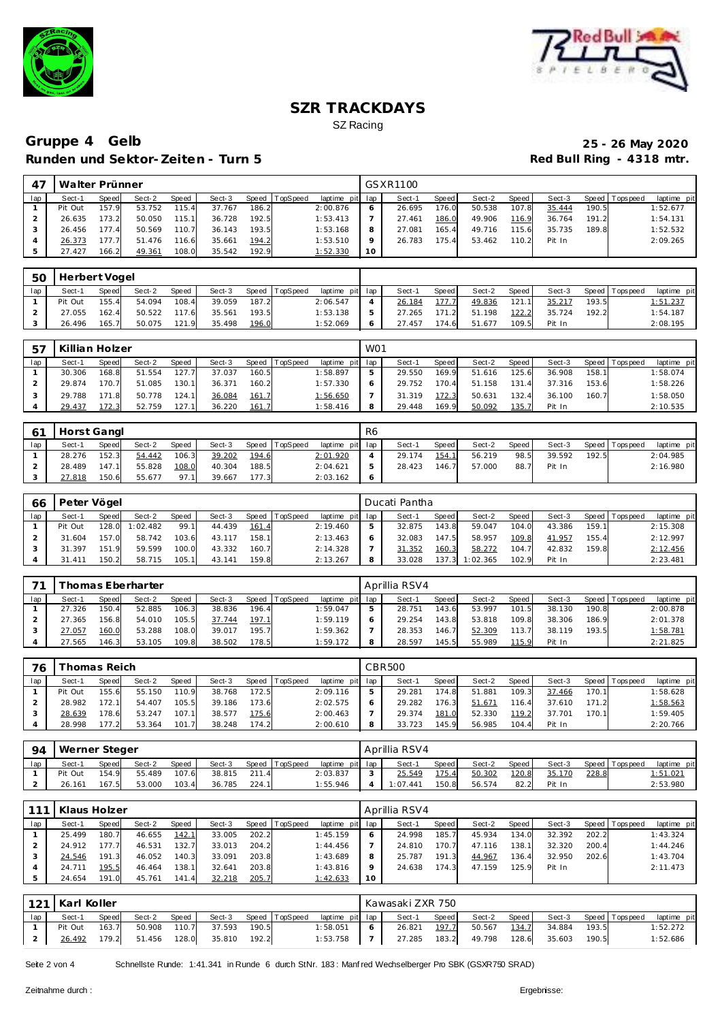



## Gruppe 4 Gelb 25 - 26 May 2020<br>Runden und Sektor-Zeiten - Turn 5 **Runden und Sektor-Zeiten - Turn 5**

|     | Walter Prünner |       |        |       |        |       |          |                 |         | GSXR1100 |         |        |       |        |       |                   |             |
|-----|----------------|-------|--------|-------|--------|-------|----------|-----------------|---------|----------|---------|--------|-------|--------|-------|-------------------|-------------|
| lap | Sect-1         | Speed | Sect-2 | Speed | Sect-3 | Speed | TopSpeed | laptime pit lap |         | Sect-1   | Speed I | Sect-2 | Speed | Sect-3 |       | Speed   Tops peed | laptime pit |
|     | Pit Out        | 157.9 | 53.752 | 115.4 | 37.767 | 186.2 |          | 2:00.876        |         | 26.695   | 176.0   | 50.538 | 107.8 | 35.444 | 190.5 |                   | 1:52.677    |
|     | 26.635         | 173.2 | 50.050 | 115.1 | 36.728 | 192.5 |          | 1:53.413        |         | 27.461   | 186.0   | 49.906 | 116.9 | 36.764 | 191.2 |                   | 1:54.131    |
|     | 26.456         | 177.4 | 50.569 | 110.7 | 36.143 | 193.5 |          | 1:53.168        | 8       | 27.081   | 165.4   | 49.716 | 115.6 | 35.735 | 189.8 |                   | 1:52.532    |
|     | 26.373         | 177.7 | 51.476 | 116.6 | 35.661 | 194.2 |          | 1:53.510        | $\circ$ | 26.783   | 175.4   | 53.462 | 110.2 | Pit In |       |                   | 2:09.265    |
|     | 27.427         | 166.2 | 49.361 | 108.0 | 35.542 | 192.9 |          | 1:52.330        | 10      |          |         |        |       |        |       |                   |             |

| 50  | Herbert Vogel |       |        |       |        |       |                |                 |        |       |        |       |        |       |                |             |
|-----|---------------|-------|--------|-------|--------|-------|----------------|-----------------|--------|-------|--------|-------|--------|-------|----------------|-------------|
| lap | Sect-1        | Speed | Sect-2 | Speed | Sect-3 |       | Speed TopSpeed | laptime pit lap | Sect-1 | Speed | Sect-2 | Speed | Sect-3 |       | Speed Topspeed | laptime pit |
|     | Pit Out       | 155.4 | 54.094 | 108.4 | 39.059 | 187.2 |                | 2:06.547        | 26.184 | 177.7 | 49.836 | 121.1 | 35.217 | 193.5 |                | 1:51.237    |
|     | 27.055        | 162.4 | 50.522 | 117.6 | 35.561 | 193.5 |                | 1:53.138        | 27.265 | 171.2 | 51.198 | 122.2 | 35.724 | 192.2 |                | 1:54.187    |
|     | 26.496        | 165.7 | 50.075 | 121.9 | 35.498 | 196.0 |                | 1:52.069        | 27.457 | 174.6 | 51.677 | 109.5 | Pit In |       |                | 2:08.195    |

| 57  | Killian Holzer |       |        |        |        |       |          |                 | WO1        |        |              |        |       |        |       |                 |             |
|-----|----------------|-------|--------|--------|--------|-------|----------|-----------------|------------|--------|--------------|--------|-------|--------|-------|-----------------|-------------|
| lap | Sect-1         | Speed | Sect-2 | Speed  | Sect-3 | Speed | TopSpeed | laptime pit lap |            | Sect-1 | <b>Speed</b> | Sect-2 | Speed | Sect-3 |       | Speed Tops peed | laptime pit |
|     | 30.306         | 168.8 | 51.554 | 127.7  | 37.037 | 160.5 |          | 1:58.897        | ь          | 29.550 | 169.9        | 51.616 | 125.6 | 36.908 | 158.1 |                 | 1:58.074    |
|     | 29.874         | 170.7 | 51.085 | 130.11 | 36.371 | 160.2 |          | 1:57.330        | $\epsilon$ | 29.752 | 170.4        | 51.158 | 131.4 | 37.316 | 153.6 |                 | 1:58.226    |
|     | 29.788         | 171.8 | 50.778 | 124.1  | 36.084 | 161.7 |          | 1:56.650        |            | 31.319 | 172.3        | 50.631 | 132.4 | 36.100 | 160.7 |                 | 1:58.050    |
|     | 29.437         | 172.3 | 52.759 | 127.1  | 36.220 | 161.7 |          | 1:58.416        | 8          | 29.448 | 169.9        | 50.092 | 135.7 | Pit In |       |                 | 2:10.535    |

|     | Horst Gangl |       |        |              |        |       |                 |                 | R <sub>6</sub> |        |       |        |       |        |       |                   |             |
|-----|-------------|-------|--------|--------------|--------|-------|-----------------|-----------------|----------------|--------|-------|--------|-------|--------|-------|-------------------|-------------|
| lap | Sect-1      | Speed | Sect-2 | <b>Speed</b> | Sect-3 | Speed | <b>TopSpeed</b> | laptime pit lap |                | Sect-1 | Speed | Sect-2 | Speed | Sect-3 |       | Speed   Tops peed | laptime pit |
|     | 28.276      | 152.3 | 54.442 | 106.3        | 39.202 | 194.6 |                 | 2:01.920        |                | 29.174 | 154.1 | 56.219 | 98.5  | 39.592 | 192.5 |                   | 2:04.985    |
|     | 28.489      | 147.1 | 55.828 | 108.0        | 40.304 | 188.5 |                 | 2:04.621        |                | 28.423 | 146.7 | 57.000 | 88.7  | Pit In |       |                   | 2:16.980    |
|     | 27.818      | 150.6 | 55.677 | 97.1         | 39.667 | 177.3 |                 | 2:03.162        |                |        |       |        |       |        |       |                   |             |

| 66  | Peter Vögel |              |          |        |        |       |                |                 | Ducati Pantha |       |          |       |        |       |                |             |
|-----|-------------|--------------|----------|--------|--------|-------|----------------|-----------------|---------------|-------|----------|-------|--------|-------|----------------|-------------|
| lap | Sect-1      | <b>Speed</b> | Sect-2   | Speed  | Sect-3 |       | Speed TopSpeed | laptime pit lap | Sect-1        | Speed | Sect-2   | Speed | Sect-3 |       | Speed Topspeed | laptime pit |
|     | Pit Out     | 128.0        | 1:02.482 | 99.1   | 44.439 | 161.4 |                | 2:19.460        | 32.875        | 143.8 | 59.047   | 104.0 | 43.386 | 159.1 |                | 2:15.308    |
|     | 31.604      | 157.0        | 58.742   | 103.6  | 43.117 | 158.1 |                | 2:13.463        | 32.083        | 147.5 | 58.957   | 109.8 | 41.957 | 155.4 |                | 2:12.997    |
|     | 31.397      | 151.9        | 59.599   | 100.0  | 43.332 | 160.7 |                | 2:14.328        | 31.352        | 160.3 | 58.272   | 104.7 | 42.832 | 159.8 |                | 2:12.456    |
|     | 31.411      | 150.2        | 58.715   | 105.11 | 43.141 | 159.8 |                | 2:13.267        | 33.028        | 137.3 | 1:02.365 | 102.9 | Pit In |       |                | 2:23.481    |

| 71  |        |              | i homas Eberharter |              |        |       |          |                 | Aprillia RSV4 |       |        |       |        |       |                 |             |
|-----|--------|--------------|--------------------|--------------|--------|-------|----------|-----------------|---------------|-------|--------|-------|--------|-------|-----------------|-------------|
| lap | Sect-1 | <b>Speed</b> | Sect-2             | <b>Speed</b> | Sect-3 | Speed | TopSpeed | laptime pit lap | Sect-1        | Speed | Sect-2 | Speed | Sect-3 |       | Speed Tops peed | laptime pit |
|     | 27.326 | 150.4        | 52.885             | 106.3        | 38.836 | 196.4 |          | 1:59.047        | 28.751        | 143.6 | 53.997 | 101.5 | 38.130 | 190.8 |                 | 2:00.878    |
|     | 27.365 | 156.8        | 54.010             | 105.5        | 37.744 | 197.1 |          | 1:59.119        | 29.254        | 143.8 | 53.818 | 109.8 | 38.306 | 186.9 |                 | 2:01.378    |
|     | 27.057 | 160.0        | 53.288             | 108.0        | 39.017 | 195.7 |          | 1:59.362        | 28.353        | 146.7 | 52.309 | 113.7 | 38.119 | 193.5 |                 | 1:58.781    |
|     | 27.565 | 146.3        | 53.105             | 109.8        | 38.502 | 178.5 |          | 1:59.172        | 28.597        | 145.5 | 55.989 | 115.9 | Pit In |       |                 | 2:21.825    |

| 76  | Thomas Reich |              |        |              |        |       |          |                 |   | CBR500 |       |        |       |        |       |                 |             |
|-----|--------------|--------------|--------|--------------|--------|-------|----------|-----------------|---|--------|-------|--------|-------|--------|-------|-----------------|-------------|
| lap | Sect-1       | <b>Speed</b> | Sect-2 | <b>Speed</b> | Sect-3 | Speed | TopSpeed | laptime pit lap |   | Sect-1 | Speed | Sect-2 | Speed | Sect-3 |       | Speed Tops peed | laptime pit |
|     | Pit Out      | 155.6        | 55.150 | 110.9        | 38.768 | 172.5 |          | 2:09.116        | ь | 29.281 | 174.8 | 51.881 | 109.3 | 37.466 | 170.1 |                 | 1:58.628    |
|     | 28.982       | 172.1        | 54.407 | 105.5        | 39.186 | 173.6 |          | 2:02.575        | O | 29.282 | 176.3 | 51.671 | 116.4 | 37.610 | 171.2 |                 | 1:58.563    |
|     | 28.639       | 178.6        | 53.247 | 107.1        | 38.577 | 175.6 |          | 2:00.463        |   | 29.374 | 181.0 | 52.330 | 119.2 | 37.701 | 170.1 |                 | 1:59.405    |
|     | 28.998       | 177.2        | 53.364 | 101.7        | 38.248 | 174.2 |          | 2:00.610        | 8 | 33.723 | 145.9 | 56.985 | 104.4 | Pit In |       |                 | 2:20.766    |

| 94  | Werner Steger |              |        |              |        |       |          |                 | Aprillia RSV4 |       |        |       |            |       |                 |                 |
|-----|---------------|--------------|--------|--------------|--------|-------|----------|-----------------|---------------|-------|--------|-------|------------|-------|-----------------|-----------------|
| lap | Sect-1        | <b>Speed</b> | Sect-2 | <b>Speed</b> | Sect-3 | Speed | TopSpeed | laptime pit lap | Sect-1        | Speed | Sect-2 | Speed | Sect-3     |       | Speed Tops peed | laptime pit     |
|     | Pit Out       | 154.9        | 55.489 | 107.6        | 38.815 |       |          | 2:03.837        | 25.549        | 175.4 | 50.302 | 120.8 | 170<br>35. | 228.8 |                 | <u>1:51.021</u> |
|     | 26.161        | 167.5        | 53.000 | 103.4        | 36.785 | 224.1 |          | : 55.946        | 1:07.447      | 150.8 | 56.574 | 82.2  | Pit In     |       |                 | 2:53.980        |

|     | Klaus Holzer |       |        |       |        |       |          |                 |         | Aprillia RSV4 |       |        |       |        |       |                |             |
|-----|--------------|-------|--------|-------|--------|-------|----------|-----------------|---------|---------------|-------|--------|-------|--------|-------|----------------|-------------|
| lap | Sect-1       | Speed | Sect-2 | Speed | Sect-3 | Speed | TopSpeed | laptime pit lap |         | Sect-1        | Speed | Sect-2 | Speed | Sect-3 |       | Speed Topspeed | laptime pit |
|     | 25.499       | 180.7 | 46.655 | 142.1 | 33.005 | 202.2 |          | 1:45.159        | 6       | 24.998        | 185.7 | 45.934 | 134.0 | 32.392 | 202.2 |                | 1:43.324    |
|     | 24.912       | 177.7 | 46.531 | 132.7 | 33.013 | 204.2 |          | 1:44.456        |         | 24.810        | 170.7 | 47.116 | 138.1 | 32.320 | 200.4 |                | 1:44.246    |
|     | 24.546       | 191.3 | 46.052 | 140.3 | 33.091 | 203.8 |          | 1:43.689        | 8       | 25.787        | 191.3 | 44.967 | 136.4 | 32.950 | 202.6 |                | 1:43.704    |
|     | 24.711       | 195.5 | 46.464 | 138.1 | 32.641 | 203.8 |          | 1:43.816        | $\circ$ | 24.638        | 174.3 | 47.159 | 125.9 | Pit In |       |                | 2:11.473    |
|     | 24.654       | 191.0 | 45.761 | 141.4 | 32.218 | 205.7 |          | 1:42.633        | 10      |               |       |        |       |        |       |                |             |

| 121 | Karl Koller |       |        |       |        |       |                |                 |   | Kawasaki ZXR 750 |       |        |       |        |       |                 |             |
|-----|-------------|-------|--------|-------|--------|-------|----------------|-----------------|---|------------------|-------|--------|-------|--------|-------|-----------------|-------------|
| lap | Sect-1      | Speed | Sect-2 | Speed | Sect-3 |       | Speed TopSpeed | laptime pit lap |   | Sect-1           | Speed | Sect-2 | Speed | Sect-3 |       | Speed Tops peed | laptime pit |
|     | Pit Out     | 163.7 | 50.908 | 110.7 | 37.593 | 190.5 |                | 1:58.051        | 6 | 26.821           | 197.7 | 50.567 | 134.7 | 34.884 | 193.5 |                 | 1:52.272    |
|     | 26.492      | 179.2 | 51.456 | 128.0 | 35.810 | 192.2 |                | 1:53.758        |   | 27.285           | 183.2 | 49.798 | 128.6 | 35.603 | 190.5 |                 | 1:52.686    |

Seite 2 von 4 Schnellste Runde: 1:41.341 in Runde 6 durch StNr. 183: Manf red Wechselberger Pro SBK (GSXR750 SRAD)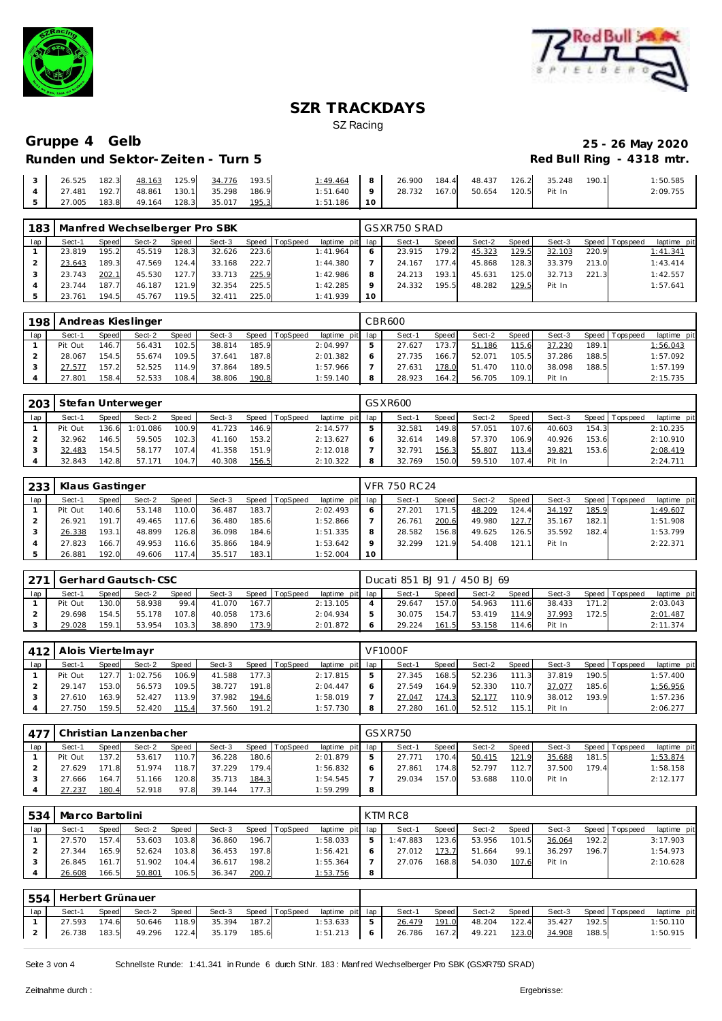



## **Runden und Sektor-Zeiten - Turn 5**

# Gruppe 4 Gelb<br>
25 - 26 May 2020<br>
Red Bull Ring - 4318 mtr.

|  |                                                                                      |  |  | $1:49.464$ 8 26.900 184.4 48.437 126.2 35.248 190.1 |  |  |  | 1:50.585 |
|--|--------------------------------------------------------------------------------------|--|--|-----------------------------------------------------|--|--|--|----------|
|  | $\begin{bmatrix} 4 & 27.481 & 192.7 & 48.861 & 130.1 & 35.298 & 186.9 \end{bmatrix}$ |  |  | 1:51.640   9   28.732 167.0 50.654 120.5 Pit In     |  |  |  | 2:09.755 |
|  | $\begin{bmatrix} 5 & 27.005 & 183.8 & 49.164 & 128.3 & 35.017 & 195.3 \end{bmatrix}$ |  |  | $1:51.186$ 1.10                                     |  |  |  |          |

| 183 |        |       | Manfred Wechselberger Pro SBK |       |        |       |                |                 |         | GSXR750 SRAD |         |        |       |        |       |                |             |
|-----|--------|-------|-------------------------------|-------|--------|-------|----------------|-----------------|---------|--------------|---------|--------|-------|--------|-------|----------------|-------------|
| lap | Sect-1 | Speed | Sect-2                        | Speed | Sect-3 |       | Speed TopSpeed | laptime pit lap |         | Sect-1       | Speed I | Sect-2 | Speed | Sect-3 |       | Speed Topspeed | laptime pit |
|     | 23.819 | 195.2 | 45.519                        | 128.3 | 32.626 | 223.6 |                | 1:41.964        |         | 23.915       | 179.2   | 45.323 | 129.5 | 32.103 | 220.9 |                | 1:41.341    |
|     | 23.643 | 189.3 | 47.569                        | 124.4 | 33.168 | 222.7 |                | 1:44.380        |         | 24.167       | 177.4   | 45.868 | 128.3 | 33.379 | 213.0 |                | 1:43.414    |
|     | 23.743 | 202.1 | 45.530                        | 127.7 | 33.713 | 225.9 |                | 1:42.986        | 8       | 24.213       | 193.1   | 45.631 | 125.0 | 32.713 | 221.3 |                | 1:42.557    |
|     | 23.744 | 187.7 | 46.187                        | 121.9 | 32.354 | 225.5 |                | 1:42.285        | $\circ$ | 24.332       | 195.5   | 48.282 | 129.5 | Pit In |       |                | 1:57.641    |
|     | 23.761 | 194.5 | 45.767                        | 119.5 | 32.411 | 225.0 |                | 1:41.939        | 10      |              |         |        |       |        |       |                |             |

| 198 |         |       | Andreas Kieslinger |              |        |       |                |             |     | CBR600 |              |        |       |        |       |                |             |
|-----|---------|-------|--------------------|--------------|--------|-------|----------------|-------------|-----|--------|--------------|--------|-------|--------|-------|----------------|-------------|
| lap | Sect-1  | Speed | Sect-2             | <b>Speed</b> | Sect-3 |       | Speed TopSpeed | laptime pit | lap | Sect-1 | <b>Speed</b> | Sect-2 | Speed | Sect-3 |       | Speed Topspeed | laptime pit |
|     | Pit Out | 146.7 | 56.431             | 102.5        | 38.814 | 185.9 |                | 2:04.997    | ь   | 27.627 | 173.7        | 51.186 | 115.6 | 37.230 | 189.1 |                | 1:56.043    |
|     | 28.067  | 154.5 | 55.674             | 109.5        | 37.641 | 187.8 |                | 2:01.382    | 6   | 27.735 | 166.7        | 52.071 | 105.5 | 37.286 | 188.5 |                | 1:57.092    |
|     | 27.577  | 157.2 | 52.525             | 114.9        | 37.864 | 189.5 |                | 1:57.966    |     | 27.631 | 178.0        | 51.470 | 110.0 | 38.098 | 188.5 |                | 1:57.199    |
|     | 27.801  | 158.4 | 52.533             | 108.4        | 38.806 | 190.8 |                | 1:59.140    | 8   | 28.923 | 164.2        | 56.705 | 109.1 | Pit In |       |                | 2:15.735    |

| 203 |         |       | Stefan Unterweger |       |        |       |                |                 | GSXR600 |       |        |       |        |       |                 |             |
|-----|---------|-------|-------------------|-------|--------|-------|----------------|-----------------|---------|-------|--------|-------|--------|-------|-----------------|-------------|
| lap | Sect-1  | Speed | Sect-2            | Speed | Sect-3 |       | Speed TopSpeed | laptime pit lap | Sect-1  | Speed | Sect-2 | Speed | Sect-3 |       | Speed Tops peed | laptime pit |
|     | Pit Out | 136.6 | 1:01.086          | 100.9 | 41.723 | 146.9 |                | 2:14.577        | 32.581  | 149.8 | 57.051 | 107.6 | 40.603 | 154.3 |                 | 2:10.235    |
|     | 32.962  | 146.5 | 59.505            | 102.3 | 41.160 | 153.2 |                | 2:13.627        | 32.614  | 149.8 | 57.370 | 106.9 | 40.926 | 153.6 |                 | 2:10.910    |
|     | 32.483  | 154.5 | 58.177            | 107.4 | 41.358 | 151.9 |                | 2:12.018        | 32.791  | 156.3 | 55.807 | 113.4 | 39.821 | 153.6 |                 | 2:08.419    |
|     | 32.843  | 142.8 | 57.171            | 104.7 | 40.308 | 156.5 |                | 2:10.322        | 32.769  | 150.0 | 59.510 | 107.4 | Pit In |       |                 | 2:24.711    |

| 233 | Klaus Gastinger |       |        |              |        |       |          |                 |    | VFR 750 RC 24 |        |        |       |        |       |                 |             |
|-----|-----------------|-------|--------|--------------|--------|-------|----------|-----------------|----|---------------|--------|--------|-------|--------|-------|-----------------|-------------|
| lap | Sect-1          | Speed | Sect-2 | <b>Speed</b> | Sect-3 | Speed | TopSpeed | laptime pit lap |    | Sect-1        | Speed  | Sect-2 | Speed | Sect-3 |       | Speed Tops peed | laptime pit |
|     | Pit Out         | 140.6 | 53.148 | 110.0        | 36.487 | 183.7 |          | 2:02.493        |    | 27.201        | 171.51 | 48.209 | 124.4 | 34.197 | 185.9 |                 | 1:49.607    |
|     | 26.921          | 191.7 | 49.465 | 117.6        | 36.480 | 185.6 |          | 1:52.866        |    | 26.761        | 200.6  | 49.980 | 127.7 | 35.167 | 182.1 |                 | 1:51.908    |
|     | 26.338          | 193.1 | 48.899 | 126.8        | 36.098 | 184.6 |          | 1:51.335        | 8  | 28.582        | 156.8  | 49.625 | 126.5 | 35.592 | 182.4 |                 | 1:53.799    |
|     | 27.823          | 166.7 | 49.953 | 116.6        | 35.866 | 184.9 |          | 1:53.642        |    | 32.299        | 121.9  | 54.408 | 121.1 | Pit In |       |                 | 2:22.371    |
|     | 26.881          | 192.0 | 49.606 | 117.4        | 35.517 | 183.1 |          | 1:52.004        | 10 |               |        |        |       |        |       |                 |             |

|     | 271   Gerhard Gautsch-CSC |              |        |              |        |       |          |                 | Ducati 851 BJ 91 / 450 BJ 69 |       |        |            |        |       |                |             |
|-----|---------------------------|--------------|--------|--------------|--------|-------|----------|-----------------|------------------------------|-------|--------|------------|--------|-------|----------------|-------------|
| lap | Sect-1                    | <b>Speed</b> | Sect-2 | <b>Speed</b> | Sect-3 | Speed | TopSpeed | laptime pit lap | Sect-1                       | Speed | Sect-2 | Speed      | Sect-3 |       | Speed Topspeed | laptime pit |
|     | Pit Out                   | 130.0        | 58.938 | 99.4         | 41.070 | 167.7 |          | 2:13.105        | 29.647                       | 157.0 | 54.963 | 111<br>-61 | 38.433 | 171.2 |                | 2:03.043    |
|     | 29.698                    | 154.5        | 55.178 | 107.8        | 40.058 | 173.6 |          | 2:04.934        | 30.075                       | 154.7 | 53.419 | 114.9      | 37.993 | 172.5 |                | 2:01.487    |
|     | 29.028                    | 159.1        | 53.954 | 103.3        | 38.890 | 173.9 |          | 2:01.872        | 29.224                       | 161.5 | 53.158 | 14.6       | Pit In |       |                | 2:11.374    |

| 412 | Alois Viertelmayr |       |          |       |        |       |          |          |         | <b>VF1000F</b> |              |        |        |        |       |                 |             |
|-----|-------------------|-------|----------|-------|--------|-------|----------|----------|---------|----------------|--------------|--------|--------|--------|-------|-----------------|-------------|
| lap | Sect-1            | Speed | Sect-2   | Speed | Sect-3 | Speed | TopSpeed | laptime  | pit lap | Sect-1         | <b>Speed</b> | Sect-2 | Speed  | Sect-3 |       | Speed Tops peed | laptime pit |
|     | Pit Out           | 127.7 | 1:02.756 | 106.9 | 41.588 | 177.3 |          | 2:17.815 |         | 27.345         | 168.5        | 52.236 | 111.3  | 37.819 | 190.5 |                 | 1:57.400    |
|     | 29.147            | 153.0 | 56.573   | 109.5 | 38.727 | 191.8 |          | 2:04.447 |         | 27.549         | 164.9        | 52.330 | 110.7  | 37.077 | 185.6 |                 | 1:56.956    |
|     | 27.610            | 163.9 | 52.427   | 113.9 | 37.982 | 194.6 |          | 1:58.019 |         | 27.047         | 174.3        | 52.177 | 110.9  | 38.012 | 193.9 |                 | 1:57.236    |
|     | 27.750            | 159.5 | 52.420   | 115.4 | 37.560 | 191.2 |          | 1:57.730 | 8       | 27.280         | 161.0        | 52.512 | 115.11 | Pit In |       |                 | 2:06.277    |

| 477 |         |       | Christian Lanzenbacher |              |        |       |                |                 |   | GSXR750 |              |        |       |        |       |                 |             |
|-----|---------|-------|------------------------|--------------|--------|-------|----------------|-----------------|---|---------|--------------|--------|-------|--------|-------|-----------------|-------------|
| lap | Sect-1  | Speed | Sect-2                 | <b>Speed</b> | Sect-3 |       | Speed TopSpeed | laptime pit lap |   | Sect-1  | <b>Speed</b> | Sect-2 | Speed | Sect-3 |       | Speed Tops peed | laptime pit |
|     | Pit Out | 137.2 | 53.617                 | 110.7        | 36.228 | 180.6 |                | 2:01.879        | ь | 27.771  | 170.4        | 50.415 | 121.9 | 35.688 | 181.5 |                 | 1:53.874    |
|     | 27.629  | 171.8 | 51.974                 | 118.7        | 37.229 | 179.4 |                | 1:56.832        | 6 | 27.861  | 174.8        | 52.797 | 112.7 | 37.500 | 179.4 |                 | 1:58.158    |
|     | 27.666  | 164.7 | 51.166                 | 120.8        | 35.713 | 184.3 |                | 1:54.545        |   | 29.034  | 157.0        | 53.688 | 110.0 | Pit In |       |                 | 2:12.177    |
|     | 27.237  | 180.4 | 52.918                 | 97.8         | 39.144 | 177.3 |                | 1:59.299        | 8 |         |              |        |       |        |       |                 |             |

| 534 | Marco Bartolini |       |        |              |        |       |                |                 |    | KTM RC8  |         |        |         |        |       |                 |             |
|-----|-----------------|-------|--------|--------------|--------|-------|----------------|-----------------|----|----------|---------|--------|---------|--------|-------|-----------------|-------------|
| lap | Sect-1          | Speed | Sect-2 | <b>Speed</b> | Sect-3 |       | Speed TopSpeed | laptime pit lap |    | Sect-1   | Speed I | Sect-2 | Speed I | Sect-3 |       | Speed Tops peed | laptime pit |
|     | 27.570          | 157.4 | 53.603 | 103.8        | 36.860 | 196.7 |                | 1:58.033        | b. | 1:47.883 | 123.6   | 53.956 | 101.5   | 36.064 | 192.2 |                 | 3:17.903    |
|     | 27.344          | 165.9 | 52.624 | 103.8        | 36.453 | 197.8 |                | 1:56.421        |    | 27.012   | 173.7   | 51.664 | 99.1    | 36.297 | 196.7 |                 | 1:54.973    |
|     | 26.845          | 161.7 | 51.902 | 104.4        | 36.617 | 198.2 |                | 1:55.364        |    | 27.076   | 168.8   | 54.030 | 107.6   | Pit In |       |                 | 2:10.628    |
|     | 26.608          | 166.5 | 50.801 | 106.5        | 36.347 | 200.7 |                | 1:53.756        |    |          |         |        |         |        |       |                 |             |

|     | 554 Herbert Grünauer |       |        |       |                                        |  |                                       |                                             |                    |                                  |       |             |
|-----|----------------------|-------|--------|-------|----------------------------------------|--|---------------------------------------|---------------------------------------------|--------------------|----------------------------------|-------|-------------|
| lap | Sect-1               | Speed | Sect-2 | Speed |                                        |  | Sect-3 Speed TopSpeed laptime pit lap | Sect-1                                      | Speed Sect-2 Speed | Sect-3 Speed Topspeed            |       | laptime pit |
|     |                      |       |        |       | 27.593 174.6 50.646 118.9 35.394 187.2 |  | $1:53.633$ 5                          |                                             |                    | 26.479 191.0 48.204 122.4 35.427 | 192.5 | 1:50.110    |
|     |                      |       |        |       | 26.738 183.5 49.296 122.4 35.179 185.6 |  |                                       | 1:51.213 6 26.786 167.2 49.221 123.0 34.908 |                    |                                  | 188.5 | 1:50.915    |

Seite 3 von 4 Schnellste Runde: 1:41.341 in Runde 6 durch StNr. 183: Manf red Wechselberger Pro SBK (GSXR750 SRAD)